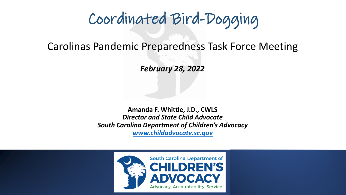# Coordinated Bird-Dogging

Carolinas Pandemic Preparedness Task Force Meeting

*February 28, 2022*

**Amanda F. Whittle, J.D., CWLS** *Director and State Child Advocate South Carolina Department of Children's Advocacy [www.childadvocate.sc.gov](http://www.childadvocate.sc.gov/)*

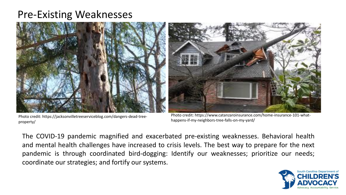#### Pre-Existing Weaknesses



Photo credit: https://jacksonvilletreeserviceblog.com/dangers-dead-treeproperty/



Photo credit: https://www.catanzaroinsurance.com/home-insurance-101-whathappens-if-my-neighbors-tree-falls-on-my-yard/

The COVID-19 pandemic magnified and exacerbated pre-existing weaknesses. Behavioral health and mental health challenges have increased to crisis levels. The best way to prepare for the next pandemic is through coordinated bird-dogging: Identify our weaknesses; prioritize our needs; coordinate our strategies; and fortify our systems.

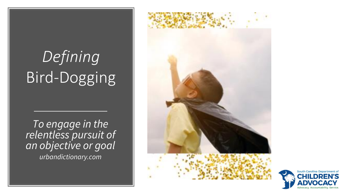# *Defining* Bird-Dogging

*To engage in the relentless pursuit of an objective or goal urbandictionary.com*



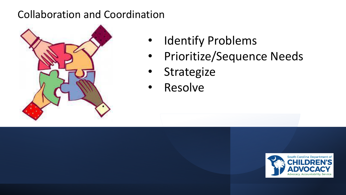#### Collaboration and Coordination



- Identify Problems
	- Prioritize/Sequence Needs
	- Strategize
	- Resolve

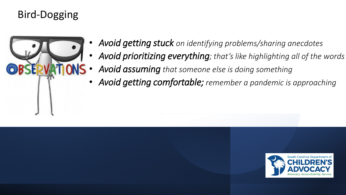## Bird-Dogging



- *Avoid getting stuck on identifying problems/sharing anecdotes*
- *Avoid prioritizing everything; that's like highlighting all of the words*
- *Avoid assuming that someone else is doing something*
- *Avoid getting comfortable; remember a pandemic is approaching*

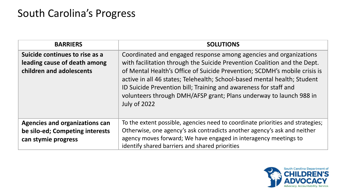### South Carolina's Progress

| <b>BARRIERS</b>                                                                                 | <b>SOLUTIONS</b>                                                                                                                                                                                                                                                                                                                                                                                                                                                        |
|-------------------------------------------------------------------------------------------------|-------------------------------------------------------------------------------------------------------------------------------------------------------------------------------------------------------------------------------------------------------------------------------------------------------------------------------------------------------------------------------------------------------------------------------------------------------------------------|
| Suicide continues to rise as a<br>leading cause of death among<br>children and adolescents      | Coordinated and engaged response among agencies and organizations<br>with facilitation through the Suicide Prevention Coalition and the Dept.<br>of Mental Health's Office of Suicide Prevention; SCDMH's mobile crisis is<br>active in all 46 states; Telehealth; School-based mental health; Student<br>ID Suicide Prevention bill; Training and awareness for staff and<br>volunteers through DMH/AFSP grant; Plans underway to launch 988 in<br><b>July of 2022</b> |
| <b>Agencies and organizations can</b><br>be silo-ed; Competing interests<br>can stymie progress | To the extent possible, agencies need to coordinate priorities and strategies;<br>Otherwise, one agency's ask contradicts another agency's ask and neither<br>agency moves forward; We have engaged in interagency meetings to<br>identify shared barriers and shared priorities                                                                                                                                                                                        |

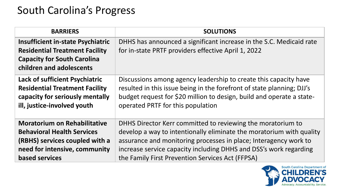### South Carolina's Progress

| <b>BARRIERS</b>                                                                                                                                     | <b>SOLUTIONS</b>                                                                                                           |
|-----------------------------------------------------------------------------------------------------------------------------------------------------|----------------------------------------------------------------------------------------------------------------------------|
| <b>Insufficient in-state Psychiatric</b><br><b>Residential Treatment Facility</b><br><b>Capacity for South Carolina</b><br>children and adolescents | DHHS has announced a significant increase in the S.C. Medicaid rate<br>for in-state PRTF providers effective April 1, 2022 |
| <b>Lack of sufficient Psychiatric</b>                                                                                                               | Discussions among agency leadership to create this capacity have                                                           |
| <b>Residential Treatment Facility</b>                                                                                                               | resulted in this issue being in the forefront of state planning; DJJ's                                                     |
| capacity for seriously mentally                                                                                                                     | budget request for \$20 million to design, build and operate a state-                                                      |
| ill, justice-involved youth                                                                                                                         | operated PRTF for this population                                                                                          |
| <b>Moratorium on Rehabilitative</b>                                                                                                                 | DHHS Director Kerr committed to reviewing the moratorium to                                                                |
| <b>Behavioral Health Services</b>                                                                                                                   | develop a way to intentionally eliminate the moratorium with quality                                                       |
| (RBHS) services coupled with a                                                                                                                      | assurance and monitoring processes in place; Interagency work to                                                           |
| need for intensive, community                                                                                                                       | increase service capacity including DHHS and DSS's work regarding                                                          |
| <b>based services</b>                                                                                                                               | the Family First Prevention Services Act (FFPSA)                                                                           |

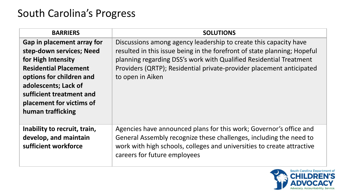## South Carolina's Progress

| <b>BARRIERS</b>                                                                                                                                                                                                                               | <b>SOLUTIONS</b>                                                                                                                                                                                                                                                                                               |
|-----------------------------------------------------------------------------------------------------------------------------------------------------------------------------------------------------------------------------------------------|----------------------------------------------------------------------------------------------------------------------------------------------------------------------------------------------------------------------------------------------------------------------------------------------------------------|
| Gap in placement array for<br>step-down services; Need<br>for High Intensity<br><b>Residential Placement</b><br>options for children and<br>adolescents; Lack of<br>sufficient treatment and<br>placement for victims of<br>human trafficking | Discussions among agency leadership to create this capacity have<br>resulted in this issue being in the forefront of state planning; Hopeful<br>planning regarding DSS's work with Qualified Residential Treatment<br>Providers (QRTP); Residential private-provider placement anticipated<br>to open in Aiken |
| Inability to recruit, train,<br>develop, and maintain<br>sufficient workforce                                                                                                                                                                 | Agencies have announced plans for this work; Governor's office and<br>General Assembly recognize these challenges, including the need to<br>work with high schools, colleges and universities to create attractive<br>careers for future employees                                                             |

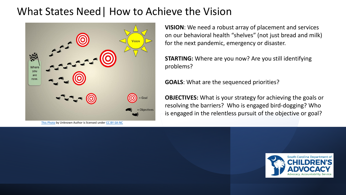#### What States Need| How to Achieve the Vision



[This Photo](http://jamiebillingham.com/tag/values/) by Unknown Author is licensed under [CC BY-SA-NC](https://creativecommons.org/licenses/by-nc-sa/3.0/)

**VISION**: We need a robust array of placement and services on our behavioral health "shelves" (not just bread and milk) for the next pandemic, emergency or disaster.

**STARTING:** Where are you now? Are you still identifying problems?

**GOALS**: What are the sequenced priorities?

**OBJECTIVES:** What is your strategy for achieving the goals or resolving the barriers? Who is engaged bird-dogging? Who is engaged in the relentless pursuit of the objective or goal?